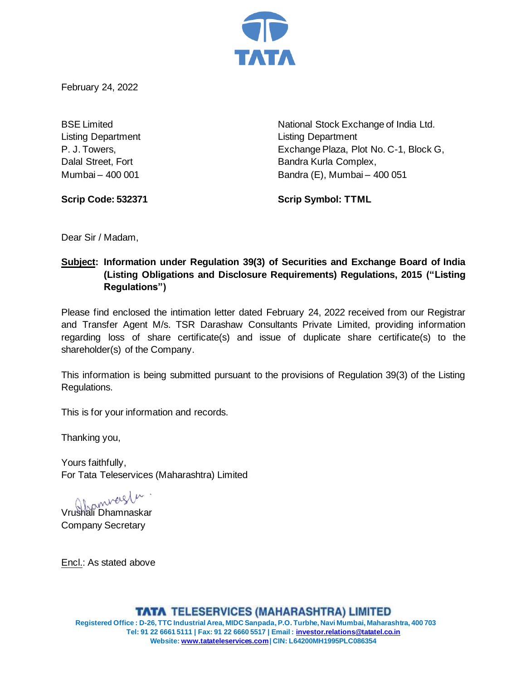

February 24, 2022

Listing Department Listing Department

BSE Limited **National Stock Exchange of India Ltd.** P. J. Towers, Exchange Plaza, Plot No. C-1, Block G, Dalal Street, Fort **Bandra Kurla Complex,** Mumbai – 400 001 Bandra (E), Mumbai – 400 051

**Scrip Code: 532371 Scrip Symbol: TTML**

Dear Sir / Madam,

# **Subject: Information under Regulation 39(3) of Securities and Exchange Board of India (Listing Obligations and Disclosure Requirements) Regulations, 2015 ("Listing Regulations")**

Please find enclosed the intimation letter dated February 24, 2022 received from our Registrar and Transfer Agent M/s. TSR Darashaw Consultants Private Limited, providing information regarding loss of share certificate(s) and issue of duplicate share certificate(s) to the shareholder(s) of the Company.

This information is being submitted pursuant to the provisions of Regulation 39(3) of the Listing Regulations.

This is for your information and records.

Thanking you,

Yours faithfully, For Tata Teleservices (Maharashtra) Limited

Vrushali Dhamnaskar

Company Secretary

Encl.: As stated above

**TATA TELESERVICES (MAHARASHTRA) LIMITED Registered Office : D-26, TTC Industrial Area, MIDC Sanpada, P.O. Turbhe, Navi Mumbai, Maharashtra, 400 703 Tel: 91 22 6661 5111 | Fax: 91 22 6660 5517 | Email : [investor.relations@tatatel.co.in](mailto:investor.relations@tatatel.co.in) Website: [www.tatateleservices.com](http://www.tatateleservices.com/)| CIN: L64200MH1995PLC086354**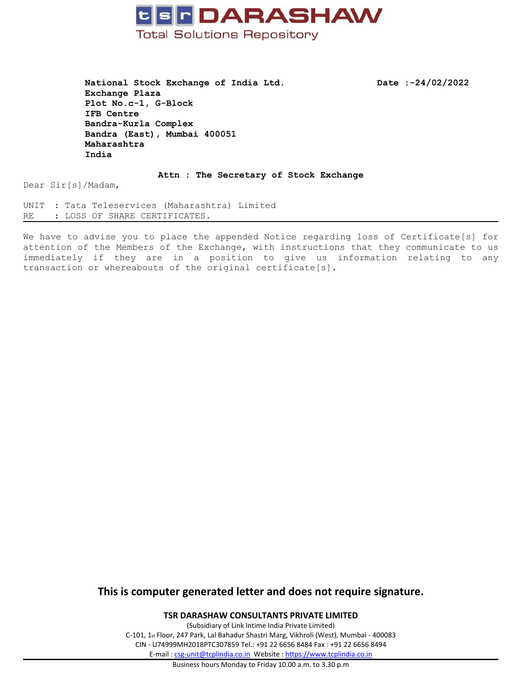

**National Stock Exchange of India Ltd. Date :-24/02/2022 Exchange Plaza Plot No.c-1, G-Block IFB Centre Bandra-Kurla Complex Bandra (East), Mumbai 400051 Maharashtra India**

**Attn : The Secretary of Stock Exchange**

Dear Sir[s]/Madam,

UNIT : Tata Teleservices (Maharashtra) Limited RE : LOSS OF SHARE CERTIFICATES.

We have to advise you to place the appended Notice regarding loss of Certificate[s] for attention of the Members of the Exchange, with instructions that they communicate to us immediately if they are in <sup>a</sup> position to give us information relating to any transaction or whereabouts of the original certificate[s].

## **This is computer generated letter and does not require signature.**

**TSR DARASHAW CONSULTANTS PRIVATE LIMITED**

(Subsidiary of Link Intime India Private Limited) C-101, 1st Floor, 247 Park, Lal Bahadur Shastri Marg, Vikhroli (West), Mumbai - 400083 CIN - U74999MH2018PTC307859 Tel.: +91 22 6656 8484 Fax : +91 22 6656 8494 E-mail : [csg-unit@tcplindia.co.in](mailto:csg-unit@tcplindia.co.in) Website : <https://www.tcplindia.co.in>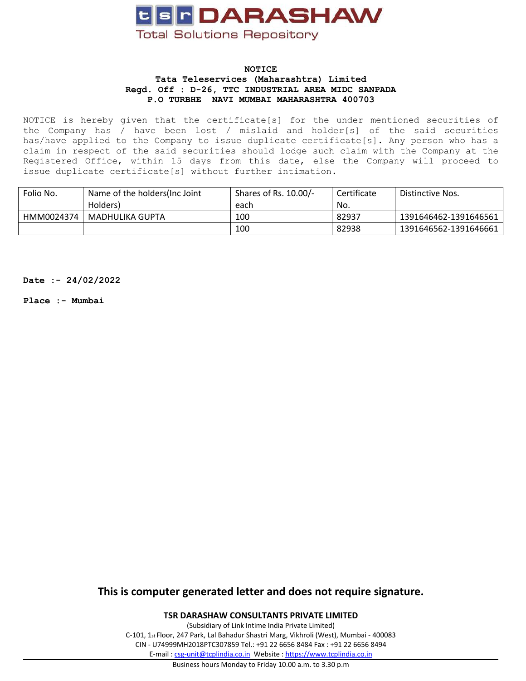

#### **NOTICE Tata Teleservices (Maharashtra) Limited Regd. Off : D-26, TTC INDUSTRIAL AREA MIDC SANPADA P.O TURBHE NAVI MUMBAI MAHARASHTRA 400703**

NOTICE is hereby given that the certificate[s] for the under mentioned securities of the Company has / have been lost / mislaid and holder[s] of the said securities has/have applied to the Company to issue duplicate certificate[s]. Any person who has a claim in respect of the said securities should lodge such claim with the Company at the Registered Office, within 15 days from this date, else the Company will proceed to issue duplicate certificate[s] without further intimation.

| Folio No.  | Name of the holders (Inc Joint | Shares of Rs. 10.00/- | Certificate | Distinctive Nos.      |
|------------|--------------------------------|-----------------------|-------------|-----------------------|
|            | Holders)                       | each                  | No.         |                       |
| HMM0024374 | MADHULIKA GUPTA                | 100                   | 82937       | 1391646462-1391646561 |
|            |                                | 100                   | 82938       | 1391646562-1391646661 |

**Date :- 24/02/2022**

**Place :- Mumbai**

**This is computer generated letter and does not require signature.**

**TSR DARASHAW CONSULTANTS PRIVATE LIMITED**

(Subsidiary of Link Intime India Private Limited) C-101, 1st Floor, 247 Park, Lal Bahadur Shastri Marg, Vikhroli (West), Mumbai - 400083 CIN - U74999MH2018PTC307859 Tel.: +91 22 6656 8484 Fax : +91 22 6656 8494 E-mail : [csg-unit@tcplindia.co.in](mailto:csg-unit@tcplindia.co.in) Website : <https://www.tcplindia.co.in>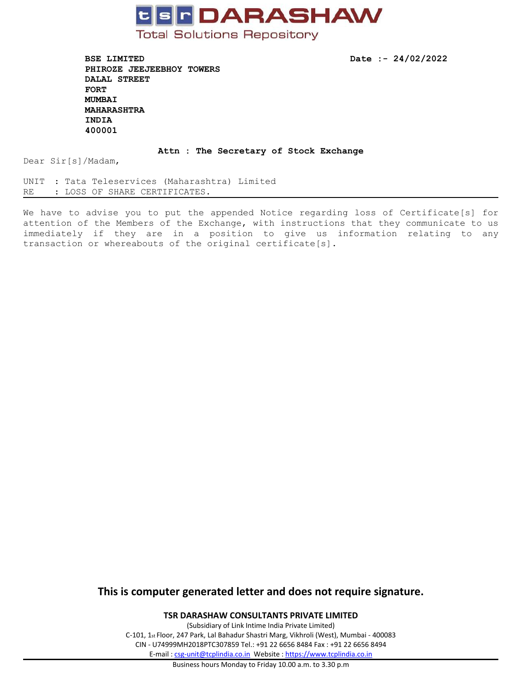

**BSE LIMITED Date :- 24/02/2022 PHIROZE JEEJEEBHOY TOWERS DALAL STREET FORT MUMBAI MAHARASHTRA INDIA 400001**

### **Attn : The Secretary of Stock Exchange**

Dear Sir[s]/Madam,

UNIT : Tata Teleservices (Maharashtra) Limited RE : LOSS OF SHARE CERTIFICATES.

We have to advise you to put the appended Notice regarding loss of Certificate[s] for attention of the Members of the Exchange, with instructions that they communicate to us immediately if they are in <sup>a</sup> position to give us information relating to any transaction or whereabouts of the original certificate[s].

## **This is computer generated letter and does not require signature.**

**TSR DARASHAW CONSULTANTS PRIVATE LIMITED**

(Subsidiary of Link Intime India Private Limited) C-101, 1st Floor, 247 Park, Lal Bahadur Shastri Marg, Vikhroli (West), Mumbai - 400083 CIN - U74999MH2018PTC307859 Tel.: +91 22 6656 8484 Fax : +91 22 6656 8494 E-mail : [csg-unit@tcplindia.co.in](mailto:csg-unit@tcplindia.co.in) Website : <https://www.tcplindia.co.in>